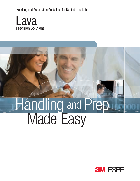Handling and Preparation Guidelines for Dentists and Labs

Lava™ Precision Solutions

# Handling and Prep<br>Made Easy

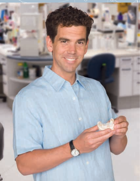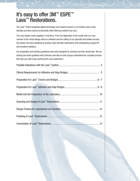#### It's easy to offer 3M™ ESPE™ Lava<sup>™</sup> Restorations.

The Lava™ Brand integrates digital technology and material science in an intuitive way to help dentists and labs improve productivity while offering excellent oral care.

The Lava system works together in harmony. From the digitization of the model with our Lava scanner to the virtual design with our software and the milling of our specially-formulated zirconia, the system has been designed to produce high-strength restorations with outstanding marginal fit and excellent esthetics.

Our preparation and handling guidelines have been designed for dentists and their dental labs. We are sharing the entire guideline with clinicians and labs so both groups understand the complete process. We hope you both enjoy working with Lava restorations.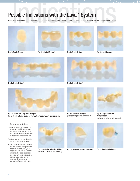#### Possible Indications with the Lava<sup>™</sup> System

Due to its excellent mechanical and optical characteristics, 3M™ ESPE™ Lava™ Zirconia can be used for a wide range of indications.







**Fig. 1: Single Crowns Fig. 2: Splinted Crowns Fig. 4: 4-unit Bridges <sup>1</sup> Fig. 3: 3-unit Bridges**









**Fig. 5: 5-unit Bridges2 Fig. 6: 6-unit Bridges2**



**Fig. 7: Curved and Long-span Bridges2** (up to 48 mm with the release of the "Multi XL" size of Lava™ Frame Zirconia)



**Fig. 8: Cantilever Bridges3** (excluded for patients with bruxism)



**Fig. 9: Inlay Bridges and Onlay Bridges<sup>4</sup>** (excluded for patients with bruxism)

1) Splinted crowns up to 4 units

- 2) 5+ unit bridges (up to 48 mm) with a maximum of two pontics next to one another in the posterior area and a maximum of four pontics next to one another in the anterior area.
- 3) with a maximum of 1 pontics at the position of a premolar or incisor.
- 4) Tests have proven: Lava™ Zirconia shows a sufficient strength for this indication. However, this type of indication overall can have a higher failure risk due to de-cementation and secondary caries regardless of manufacturer. Please refer to national and regional dental associations for more information.



**Fig. 10: Anterior Adhesive Bridges4** (excluded for patients with bruxism)



**Fig. 12: Primary Crowns/Telescopes Fig. 13: Implant Abutments**

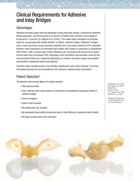#### Clinical Requirements for Adhesive and Inlay Bridges

#### Advantages

Adhesive and inlay bridges have the advantage of being minimally invasive. Compared to traditional bridge preparation, only three percent to 30 percent of healthy tooth structure is lost instead of 63 percent to 72 percent. (D. Edelhoff et al. (2002)). This makes these restorations an attractive option for young people with healthy dentition. In addition, adhesive bridges ("Maryland" bridges) show a lower occurrence of post-operative sensitivity due to the enamel retention of the restoration. However, these restorations are associated with a higher risk of failure in comparison to conventional FPDs (Priest, 1996). Survival rates of these indications are 70 percent to 80 percent (4 to 6 years) and are lower than conventional FPDs. Debonding of the restorations and secondary caries are the most prominent failure rate. Undetected debonding of a retainer may lead to plaque accumulation and possibly to subsequent lesions and gingivitis.

Therefore, these indications have to be carefully considered for each clinical situation. For further information also see the recommendations of the national or regional dental associations.

#### Patient Selection\*

The literature recommends diligence in patient selection:

- Vital abutment teeth
- Only moderate sized carious lesions or restorations not exceeding the preparation depth of adhesive bridges
- Good oral hygiene
- Teeth in final occlusion
- No parafunction (e.g. bruxism)
- No periodontal hypermobility of abutment teeth or high difference in abutment teeth mobility
- No heavy occlusal load on the restoration

(St George G. et al. 2002; St George G. et al. 2002; Ketabi 2004; Stokes A. 2002; C.J. Goodacre et al. 2003; Zalkind M. et al. 2003)

\* References: please look on the inside back cover for more information.

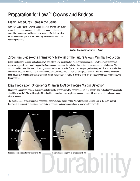#### Preparation for Lava<sup>™</sup> Crowns and Bridges

#### Many Procedures Remain the Same

With 3M™ ESPE™ Lava™ Crowns and Bridges, you provide high-quality restorations to your customers. In addition to natural esthetics and durability, Lava crowns and bridges also stand out for their excellent fit. To achieve this, practice and laboratory have to meet just a few basic requirements.



**Courtesy Dr. J. Manhart, University of Munich**

#### Zirconium Oxide—the Framework Material of the Future Allows Minimal Reduction

Unlike traditional all-ceramic restorations, Lava restorations have a substructure made of zirconium oxide. This strong material does not require an aggressive shoulder to support the framework or to enhance the esthetics. In addition, the margins can be thinly tapered. The zirconia used for Lava™ Framework is strong enough to allow for thin walls. Space for an opaque layer is not required. Therefore, a reduction of the tooth structure based on the dimensions indicated below is sufficient. This means the preparation for Lava restorations protects the tooth structure. A preparation matrix of the initial clinical situation can be helpful in order to check the progress of your tooth reduction during the preparation.

#### Ideal Preparation: Shoulder or Chamfer to Allow Precise Margin Detection

Ideally, the preparation includes a circumferential shoulder or chamfer with a horizontal angle of at least 5°. The vertical preparation angle should be at least 4°. The inside angle of the shoulder preparation must be given a rounded contour. All occlusal and incisal edges should also be rounded.

The marginal edge of the preparation needs to be continuous and clearly visible. A bevel should be avoided. Due to the tooth-colored framework, supragingivial margins in the anterior or posterior regions are acceptable to achieve esthetic results.



**Recommended preparation for anterior teeth.**

**Recommended preparation for posterior teeth.**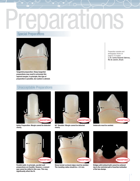#### Special Preparations



**Tangential preparation: Steep tangential preparations may result in extremely thin tapered margins. In principle, this type of preparation is possible, but caution is advised.**

#### Unacceptable Preparations

Preparation samples and photography shown on pages 6–9 created by Dr. Carlos Eduardo Sabrosa, Rio de Janeiro, Brazil.

**Gutter Preparation: Margin cannot be detected clearly.**



**90° Shoulder: Margin cannot be detected Undercuts must be avoided. clearly.**





**Parallel walls: In principle, parallel wall preparations are feasible. However, a cement gap cannot be milled in this case. This may significantly affect the fit.**



**Sharp incisal-occlusal edges must be avoided. The rounding radius should be > 0.4 mm.** 



**Bridges with inclined teeth cannot be achieved due to the restricted path of insertion inclination of the two stumps.**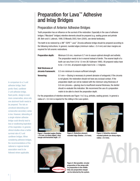#### Preparation for Lava<sup>™</sup> Adhesive and Inlay Bridges

#### Preparation of Anterior Adhesive Bridges

Tooth preparation has an influence on the survival of the restoration. Especially in the case of adhesive bridges ("Maryland" bridges) retentive elements should be prepared (e.g. seating groove and pinhole (M. Behr and A. Leibrock, 1998, El Mowafy 2003, Kern (2005), see dental textbooks).

The teeth to be restored by a 3M™ ESPE™ Lava™ Zirconia adhesive bridge should be prepared according to the following instructions. In general, rounded edges (minimum radius  $\geq 0.4$  mm) and clear margins are required for full ceramic restorations.

| <b>Preparation depth:</b> | Minimum 0.6 mm, maximum 0.7 mm to assure optimal strength and esthetic.<br>The preparation needs to be in enamel instead of dentin. The enamel depth of a<br>tooth can vary from 0.4 to 1.0 mm (W. Kullmann 1990). All prepared radius have                                                                                  |  |  |
|---------------------------|------------------------------------------------------------------------------------------------------------------------------------------------------------------------------------------------------------------------------------------------------------------------------------------------------------------------------|--|--|
|                           | to be $\geq$ 0.4 mm, all prepared angles have to be $\geq$ 2 degrees.                                                                                                                                                                                                                                                        |  |  |
| <b>Wall thickness of</b>  |                                                                                                                                                                                                                                                                                                                              |  |  |
| zirconia framework:       | 0.5 mm minimum to ensure sufficient strength.                                                                                                                                                                                                                                                                                |  |  |
| <b>Veneering:</b>         | 0.1 mm—Glazing is necessary to prevent abrasion of antagonist; If the zirconia<br>is not glazed, the restoration should not have any occlusal contact. If the<br>preparation depth can not be realized with the minimum wing thickness of<br>0.6 mm (zirconia $+$ glazing) due to insufficient enamel thickness, the dentist |  |  |

For the preparations of retentive elements see Figure 1 to 3 (e.g. pinholes, seating groove). In general a radius of  $\geq$  0.4 mm is required for the milling in the Lava system.

matrix to be able to check the preparation depth.

should re-evaluate this indication. We recommend the use of a preparation



**Figure 1: Rounded angles (Radius ≥ 0.4 mm, no sharp edges), clear margin and horizontal angle ≥ 2°.**



**Figure 2: Retentive element: rounded ridge (Radius ≥ 0.4 mm).**



**Figure 3: Retentive element: rounded pinhole (no sharp edges,**   $radius \geq 0.4$  mm).



**Figure 4: Not possible: circular preparation of the wings with no preparation in the middle. Only one preparation margin can be detected by the system.** 



pontic-fixed, cantilever 2-unit adhesive bridge, fixed-pontic, design is even more conservative, since only one abutment tooth needs to be prepared. The risk on unnoticed debonding and consecutive secondary caries is low. However, debonding of a single retainer adhesive bridge could directly lead to loss or swallowing/aspiration of the respiration. In general, clinical studies show a better survival rate of 2-unit cantilever bridges. When considering adhesive bridges, the recommendations of the national or regional dental association need to be

followed where applicable.

In comparison to a 3-unit adhesive bridge, fixed-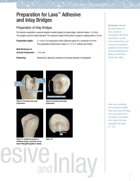#### Preparation for Lava<sup>™</sup> Adhesive and Inlay Bridges

#### Preparation of Inlay Bridges

Full ceramic preparation in general requires rounded angles (no sharp edges, minimum radius  $\geq 0.4$  mm). The margins must be clearly indicated. The maximum length of the pontic to replace a missing tooth is 10 mm.

**Preparation depth:**  $2-4$  mm; It is important to have sufficient space for a connector of 9 mm<sup>2</sup>. The preparation should have a taper of  $\geq 2^{\circ}$  to 3° without any friction.

**Wall thickness of zirconia framework:** ≥ 0.5 mm

**Veneering: EXECT:** 6 Veneering or glazing is necessary to prevent abrasion of antagonist.



**Figure 5: Proximal view inlay preparation.**



**Figure 6: Occlusal view inlay preparation.**



**Figure 7a: Additional lingual or vestibular wings: extension on the level of the tooth equator or above.**



**Figure 7b**



In the case of vestibular and oral wings in addition to the inlay cavity, the wings can be processed by the Lava system maximally to a 90° angle at the inlay preparation (see figure  $7a + 7b$ ).

# vestibular wings: extension on the<br>level of the tooth equator or above.<br>**and**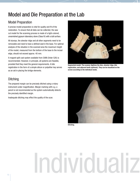#### Model and Die Preparation at the Lab

#### Model Preparation

A precise model preparation is vital for quality and fit of the restoration. To ensure that all data can be collected, the saw cut model for the scanning process is made of a light-colored, unvarnished gypsum laboratory stone (Class IV) with a dull surface.

All stumps, the alveolar ridge and all other segments need to be removable and need to have a defined seat in the base. For optimal analysis of the situation in the scanned area the maximum height of the model, measured from the bottom of the base to the incisal edge, should not exceed approx. 40 mm.

A magnet split cast system available from SAM (Order 526) is recommended. However, in principle, all systems are feasible, provided that they meet the general requirements. A bite registration in the form of a simple silicon or polyether key serves as an aid in placing the bridge elements.



**Segmented model: The scanner digitizes the dies, alveolar ridge, bite registration, and adjacent teeth (optional). They can be visualized on the screen according to the individual needs.**

#### **Ditching**

The prepared margin can be precisely ditched using a rotary instrument under magnification. Margin marking with e.g. a pencil is not recommended as the system automatically detects the precisely identified margin.

Inadequate ditching may effect the quality of the scan.



**Ditching.**

## Individualiz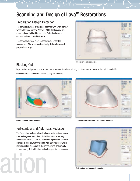### Scanning and Design of Lava<sup>™</sup> Restorations

#### Preparation Margin Detection

The complete surface of the die is scanned with a non-contact white light fringe pattern. Approx. 120,000 data points are measured and digitised for each die. Detection is carried out from incisal/occlusal to the die.

The complete surface must be easily visible under the scanner light. The system automatically defines the overall preparation margin.



**Precise preparation margin.**

#### Blocking Out

Dips, cavities and pores can be blocked out in a conventional way with light colored wax or by use of the digital wax knife. Undercuts are automatically blocked out by the software.





2 I II

**Undercut before being blocked out. Undercut blocked out with Lava™ Design Software.**

#### Full-contour and Automatic Reduction

The full-contour features allows to choose a digital single crown from an integrated tooth library. Individualization of not only fissures and cusps but also from the tooth equator and proximal contacts is possible. With the digital wax knife function, further individualization is possible to design the optimal anatomically formed coping. This will deliver optimal support for the veneering.



**Full-contour and automatic reduction.**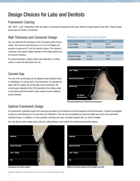#### Design Choices for Labs and Dentists

#### Framework Coloring

3M™ ESPE™ Lava™ Restorations offer the option of coloring the framework with seven different shades based on the Vita®\* Classic shade guide (plus one shade, if uncolored).

#### Wall Thickness and Connector Design

You can determine the thickness of the framework wall to fit your needs. The minimum wall thickness is 0.5 mm for bridges and posterior crowns and 0.3 mm for anterior crowns. The minimum connector cross section highly depends on the bridge position and the amount of pontics.

For special indication, please contact your laboratory or milling center or check the instructions for use.

#### Cement Gap

The size of the cement gap can be adjusted using standard values or individually. For certain parts of the framework, for example the upper half of a coping, the cement gap may be increased. The cement gap is adjusted by the CAD specialist at the milling center in accordance with the dentist's needs, based on each individual clinical situation.

#### Minimum Connector Cross Section

|                   | Anterior              | <b>Posterior</b>         |
|-------------------|-----------------------|--------------------------|
| 3-unit bridges    | $7 \text{ mm}^2$      | $9 \text{ mm}^2$         |
| 4-unit bridges    | $7 \text{ mm}^2$      | $9/12/9$ mm <sup>2</sup> |
|                   |                       |                          |
|                   | <b>Wall thickness</b> | Connector                |
| Adhesive bridges  | $0.5$ mm              | $7 \text{ mm}^2$         |
| In-/Onlay bridges | $0.5$ mm              | $9 \text{ mm}^2$         |



**Recommendations for Cement Gap Dimensions**

#### Optimal Framework Design

It is important to optimally support the veneering porcelain by an anatomical correctly designed zirconia framework. It should be designed to leave an even thickness of no more than two millimeters. This can be accomplished by using the digital wax knife or the automatic reduction feature. In addition, it is also possible to directly scan your manually designed wax up, also for bridges.

You may discuss other design ideas with your milling/design center beside the mentioned parameters above.





**Inadequate porcelain support.**

\*Registered trademark of Vita Zahnfabrik H. Rauter GmbH & Co. KG, Bad Säckingen, Germany.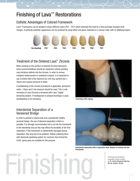### Finishing of Lava™ Restorations

#### Esthetic Advantages of Colored Framework

Lava™ Frameworks can be shaded in seven different colors (FS1 – FS7) which eliminate the need for a fired porcelain shoulder (butt margin). A perfectly aesthetic appearance can be achieved by using effect and glaze materials on a narrow collar with no additional layers.



#### Treatment of the Sintered Lava™ Zirconia

When working on the surface of sintered Zirconia framework, some recommendations should be respected. Intense grinding may introduce defects into the zirconia. In order to remove marginal reinforcement or undesired contacts, it is important to use a turbine with a fine diamond bur (red ring; particle size  $\leq$ 30μm) and copious amounts of water.

If sandblasting of the zirconia framework is applicable, aluminium  $oxide \leq 30 \mu m$  and 2 bar pressure should be used. This is only necessary if Lava Zirconia is veneered with Lava™ Digital Veneering System. If handlayered or pressed technique is used, sandblasting is not necessary.



**Trimming of the coping.**

#### Interdental Separation of a **Veneered Bridge**

In order to achieve a natural look and a periodontal healthy proximal design, the use of diamond separation cutters is possible. It is strongly recommended not to cut into the framework at the interdental area as this may effect the durability of the final restoration. If the framework is inadvertently damaged during separation, this area has to be polished. Rubber polishing discs with diamonds (polishing system for ceramics from Komet No. 4330, series grey) are suitable for this purpose.

Finishing



**Interdental separation with a separation disk. Beware of cutting into the framework.**

Trimming and Interdental separation photos created by Dr. Carlos Eduardo Sabrosa, Rio de Janeiro, Brazil.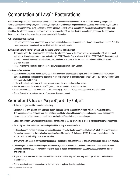#### Cementation of Lava™ Restorations

Due to the strength of Lava™ Zirconia frameworks, adhesive cementation is not necessary. For Adhesive and Inlay bridges, see "Cementation of Adhesive ("Maryland") and Inlay bridges". Restorations can be placed in the mouth in a conventional way by using a glass ionomer cement or by using an adhesive or self-adhesive cement. Before cementation, thoroughly clean the restoration and sandblast the interior surfaces of the crowns with aluminum oxide  $\leq$  50 µm. For detailed cementation please see the appropriate Instructions for Use of the respective cements for detailed information.

#### **1. Conventional Cementation**

• Use a conventional glass ionomer cement or resin modified glass ionomer cement, e.g., Ketac™ Cem or RelyX™ Luting Plus. The use of phosphate cements will not provide the desired esthetic results.

#### **2. Cementation with RelyX™ Unicem Self-Adhesive Universal Resin Cement**

- Thoroughly clean the Lava restoration, sandblast the interior surfaces of the crown with aluminum oxide  $\leq 50$  µm. For most indications, it is not necessary to pre-treat with 3M™ ESPE™ Rocatec™ or to silanate it, if 3M™ ESPE™ RelyX™ Unicem Cement is used, however if increased adhesion is required, the internal surface of the zirconia restoration should be silicatized and then silanized.
- Please refer to the product's instructions for use when using RelyX Unicem Cement.

#### **3. Adhesive Cementation**

- Lava zirconia frameworks cannot be etched or silanized with a silane coupling agent. For adhesive cementation with resin cements, the inside surfaces of the restoration must be treated for 15 seconds with Rocatec™ Soft or 3M™ ESPE™ CoJet™ Sand and silanized with ESPE™ Sil.
- If the restoration is to be tried in, it must be done before the treatment described above.
- See the Instructions for use for Rocatec™ System or CoJet Sand for detailed information.
- Place the restoration in the mouth with a resin cement (e.g., RelyX<sup>™</sup> ARC) as soon as possible after silanization
- Please follow the Instructions for use of the respective resin cement

#### Cementation of Adhesive ("Maryland") and Inlay Bridges\*:

- Adhesive bridges must be cemented adhesively.
- Cementation is only allowed with a cement clearly indicated for the cementation of these indications made of zirconia. The recommendations of the cement manufacturer need to be followed to ensure optimum bonding. Please consider that the zirconia part of the restoration needs to be pre-treated differently than the veneering part.
- $\bullet$  Before cementation Lava restorations should be sandblasted ( $\leq$  50 µm grain size) in order to increase the surface roughness.
- Especially for Adhesive bridges the bonding should be mainly to enamel surfaces.
- Sufficient enamel surface is required for optimal bonding. Some textbooks recommend to have a 1.5 to 2 times larger surface for bonding compared to the palatinal or lingual surface of the pontic (W. Kullmann, 1990). Therefore, the abutment teeth should be characterized by low enamel abrasion.
- The working area needs to be free of contamination. The adhesive cementation has to be performed using a rubber dam isolation.
- . Debonding of the Adhesive/Inlay bridges and secondary caries are the most prominent failure reason for these indications. Unnoticed decementation of one of two retainers leads to plaque accumulation and possibly subsequent carious lesions and gingivitis.
- To prevent decementation additional retentive elements should be prepared (see preparation guidelines for Adhesive and Inlay bridges).

• Please see also the recommendations of the national and regional dental associations.

\*References: please look at the right page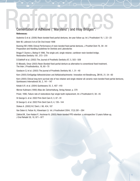## Cementation of Adhesive ("Maryland") and Inlay Bridges\*:

#### **References:**

Audenino G et al. (2006) Resin-bonded fixed partial dentures, ten year follow-up; Int J Prosthodont 19, 1, 22 – 23

Behr M, Leibrock A et al Clin Oral Invest 1998

Boening KW (1996) Clinical Performance of resin-bonded fixed partial dentures, J Prosthet Dent 76, 39 – 44 Preparation and Handling Guidelines for Dentists and Laboratories

Briggs P, Dunne s, Bishop K 1996, The single unit, single retainer, cantilever resin-bonded bridge, Restorative Dentistry 181, 373 – 379

D.Edelhoff et al. (2002) The Journal of Prosthetic Dentistry 87, 5, 503 – 509

El-Mowafy, Omar (2003) Resin-Bonded fixed partial denture as alternative to conventional fixed treatment, The Inter J Prosthodontics, 16, 60 – 70

Goodacre CJ et al. (2003) The journal of Prosthetic Dentistry 90, 1, 31 – 40

Kern (2005) Einfügelige Adhesivbrücken und Adhäsivattachments- Innovation mit Bewährung, ZM 95, 21, 54 – 60

Kern (2005) Clinical long term survival rate of two retainer and single retainer all-ceramic resin-bonded fixed partial dentures, Quintessenz International 36, 2, 141 – 147

Ketabi A.R. et al. (2004) Quintessenz 35, 5, 407 – 410

Werner Kullmann (1990) Atlas der Zahnerhaltung, Verlag Hanser, p. 379

Priest, 1996, Failure rate of restorations fopr single tooth replacement, Int J Prosthodont 9, 38 – 45

St George G. et al. 2002 Prim Dent Care 9, 3, 87 – 91

St George G. et al. 2002 Prim Dent Care 9, 4, 139 – 144

Stokes A. (2002) N Z Dent J. 98, 434, 107

Stokes A. (2002) N Z Dent J. 98, 434, 107<br>Van Dalen A, Feilzer AJ, Kleverlaan CJ Int J Prosthodont 2004, 17(3) 281–284

Zalkind M., Ever-Hadani P., Hochman N. (2003) Resin-bonded FPD retention: a retrospective 13 years follow-up, J Oral Rehabil 30, 10, 971 – 977